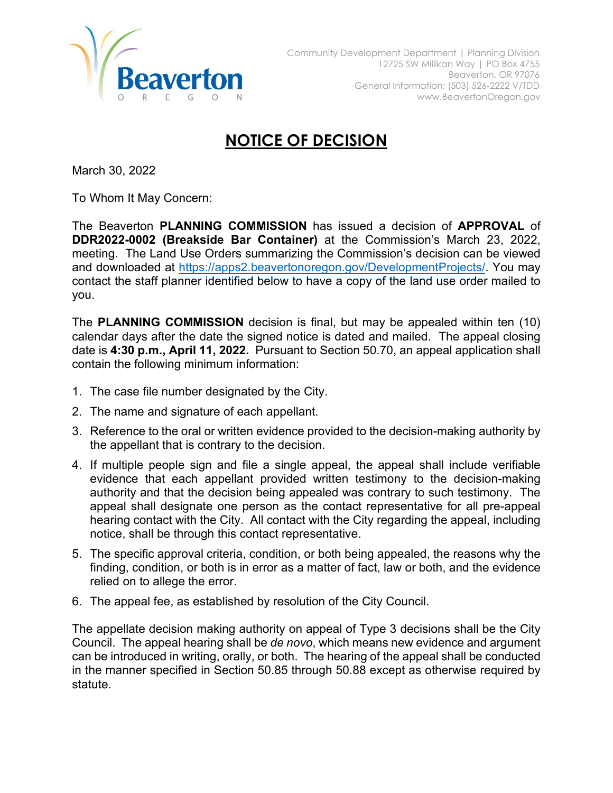

## **NOTICE OF DECISION**

March 30, 2022

To Whom It May Concern:

The Beaverton **PLANNING COMMISSION** has issued a decision of **APPROVAL** of **DDR2022-0002 (Breakside Bar Container)** at the Commission's March 23, 2022, meeting. The Land Use Orders summarizing the Commission's decision can be viewed and downloaded at [https://apps2.beavertonoregon.gov/DevelopmentProjects/.](https://apps2.beavertonoregon.gov/DevelopmentProjects/) You may contact the staff planner identified below to have a copy of the land use order mailed to you.

The **PLANNING COMMISSION** decision is final, but may be appealed within ten (10) calendar days after the date the signed notice is dated and mailed. The appeal closing date is **4:30 p.m., April 11, 2022.** Pursuant to Section 50.70, an appeal application shall contain the following minimum information:

- 1. The case file number designated by the City.
- 2. The name and signature of each appellant.
- 3. Reference to the oral or written evidence provided to the decision-making authority by the appellant that is contrary to the decision.
- 4. If multiple people sign and file a single appeal, the appeal shall include verifiable evidence that each appellant provided written testimony to the decision-making authority and that the decision being appealed was contrary to such testimony. The appeal shall designate one person as the contact representative for all pre-appeal hearing contact with the City. All contact with the City regarding the appeal, including notice, shall be through this contact representative.
- 5. The specific approval criteria, condition, or both being appealed, the reasons why the finding, condition, or both is in error as a matter of fact, law or both, and the evidence relied on to allege the error.
- 6. The appeal fee, as established by resolution of the City Council.

The appellate decision making authority on appeal of Type 3 decisions shall be the City Council. The appeal hearing shall be *de novo*, which means new evidence and argument can be introduced in writing, orally, or both. The hearing of the appeal shall be conducted in the manner specified in Section 50.85 through 50.88 except as otherwise required by statute.